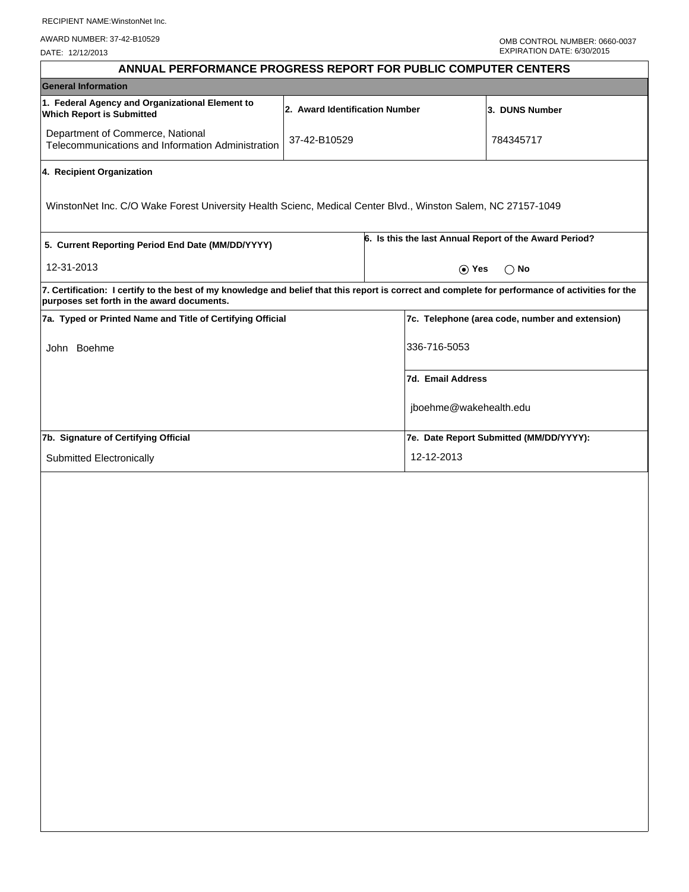RECIPIENT NAME:WinstonNet Inc.

AWARD NUMBER: 37-42-B10529

DATE: 12/12/2013

| ANNUAL PERFORMANCE PROGRESS REPORT FOR PUBLIC COMPUTER CENTERS                                                                                                                                  |                                |                                                        |                                         |  |  |
|-------------------------------------------------------------------------------------------------------------------------------------------------------------------------------------------------|--------------------------------|--------------------------------------------------------|-----------------------------------------|--|--|
| <b>General Information</b>                                                                                                                                                                      |                                |                                                        |                                         |  |  |
| 1. Federal Agency and Organizational Element to<br><b>Which Report is Submitted</b>                                                                                                             | 2. Award Identification Number |                                                        | 3. DUNS Number                          |  |  |
| Department of Commerce, National<br>Telecommunications and Information Administration                                                                                                           | 37-42-B10529                   |                                                        | 784345717                               |  |  |
| 4. Recipient Organization                                                                                                                                                                       |                                |                                                        |                                         |  |  |
| WinstonNet Inc. C/O Wake Forest University Health Scienc, Medical Center Blvd., Winston Salem, NC 27157-1049                                                                                    |                                |                                                        |                                         |  |  |
| 5. Current Reporting Period End Date (MM/DD/YYYY)                                                                                                                                               |                                | 6. Is this the last Annual Report of the Award Period? |                                         |  |  |
| 12-31-2013                                                                                                                                                                                      |                                | $\odot$ Yes<br>$\bigcirc$ No                           |                                         |  |  |
| 7. Certification: I certify to the best of my knowledge and belief that this report is correct and complete for performance of activities for the<br>purposes set forth in the award documents. |                                |                                                        |                                         |  |  |
| 7a. Typed or Printed Name and Title of Certifying Official                                                                                                                                      |                                | 7c. Telephone (area code, number and extension)        |                                         |  |  |
| John Boehme                                                                                                                                                                                     |                                | 336-716-5053                                           |                                         |  |  |
|                                                                                                                                                                                                 |                                | <b>7d. Email Address</b>                               |                                         |  |  |
|                                                                                                                                                                                                 |                                |                                                        | jboehme@wakehealth.edu                  |  |  |
| 7b. Signature of Certifying Official                                                                                                                                                            |                                |                                                        | 7e. Date Report Submitted (MM/DD/YYYY): |  |  |
| Submitted Electronically                                                                                                                                                                        |                                | 12-12-2013                                             |                                         |  |  |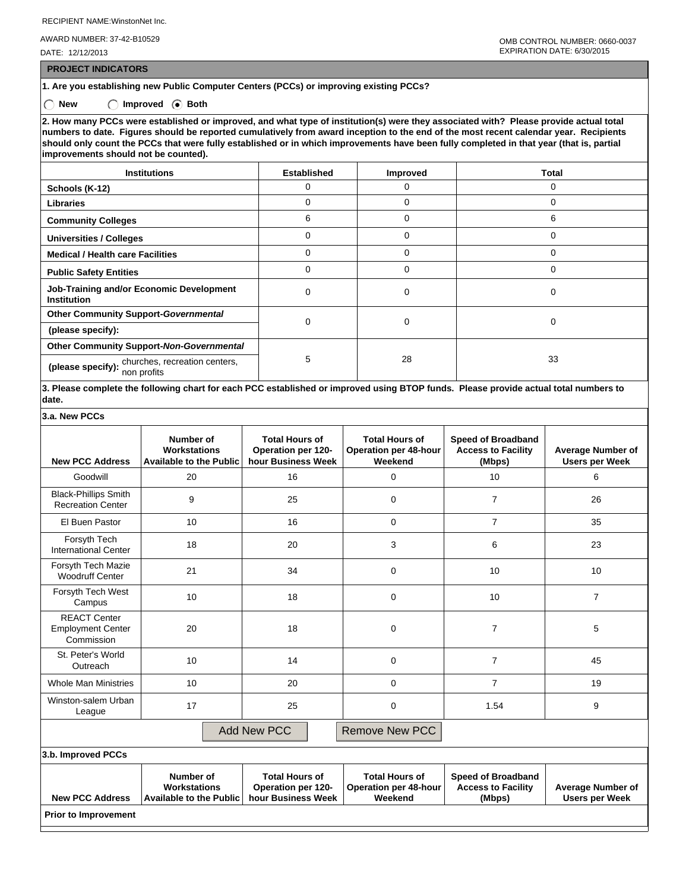RECIPIENT NAME:WinstonNet Inc.

AWARD NUMBER: 37-42-B10529

DATE: 12/12/2013

 **PROJECT INDICATORS**

## **1. Are you establishing new Public Computer Centers (PCCs) or improving existing PCCs?**

◯ New ◯ Improved **Both** 

**2. How many PCCs were established or improved, and what type of institution(s) were they associated with? Please provide actual total numbers to date. Figures should be reported cumulatively from award inception to the end of the most recent calendar year. Recipients should only count the PCCs that were fully established or in which improvements have been fully completed in that year (that is, partial improvements should not be counted).**

| <b>Institutions</b>                                            | Established | <b>Improved</b> | Total    |  |
|----------------------------------------------------------------|-------------|-----------------|----------|--|
| Schools (K-12)                                                 | 0           | 0               | 0        |  |
| <b>Libraries</b>                                               | 0           | $\Omega$        | C        |  |
| <b>Community Colleges</b>                                      | 6           | $\Omega$        | 6        |  |
| <b>Universities / Colleges</b>                                 | 0           | $\Omega$        | $\Omega$ |  |
| <b>Medical / Health care Facilities</b>                        | 0           | $\Omega$        | $\Omega$ |  |
| <b>Public Safety Entities</b>                                  | 0           | $\Omega$        | $\Omega$ |  |
| Job-Training and/or Economic Development<br><b>Institution</b> | 0           | 0               | $\Omega$ |  |
| <b>Other Community Support-Governmental</b>                    | 0           |                 | $\Omega$ |  |
| (please specify):                                              |             | 0               |          |  |
| Other Community Support-Non-Governmental                       |             | 28              |          |  |
| (please specify): churches, recreation centers,<br>non profits | 5           |                 | 33       |  |

**3. Please complete the following chart for each PCC established or improved using BTOP funds. Please provide actual total numbers to date.**

| <b>New PCC Address</b>                                                                       | Number of<br><b>Workstations</b><br><b>Available to the Public</b> | <b>Total Hours of</b><br>Operation per 120-<br>hour Business Week        | <b>Total Hours of</b><br><b>Operation per 48-hour</b><br>Weekend | <b>Speed of Broadband</b><br><b>Access to Facility</b><br>(Mbps) | <b>Average Number of</b><br><b>Users per Week</b> |
|----------------------------------------------------------------------------------------------|--------------------------------------------------------------------|--------------------------------------------------------------------------|------------------------------------------------------------------|------------------------------------------------------------------|---------------------------------------------------|
| Goodwill                                                                                     | 20                                                                 | 16                                                                       | $\Omega$                                                         | 10                                                               | 6                                                 |
| <b>Black-Phillips Smith</b><br><b>Recreation Center</b>                                      | 9                                                                  | 25                                                                       | 0                                                                | $\overline{7}$                                                   | 26                                                |
| El Buen Pastor                                                                               | 10                                                                 | 16                                                                       | $\mathbf 0$                                                      | $\overline{7}$                                                   | 35                                                |
| Forsyth Tech<br><b>International Center</b>                                                  | 18                                                                 | 20                                                                       | 3                                                                | 6                                                                | 23                                                |
| Forsyth Tech Mazie<br><b>Woodruff Center</b>                                                 | 21                                                                 | 34                                                                       | $\Omega$                                                         | 10                                                               | 10                                                |
| Forsyth Tech West<br>Campus                                                                  | 10                                                                 | 18                                                                       | $\Omega$                                                         | 10                                                               | $\overline{7}$                                    |
| <b>REACT Center</b><br><b>Employment Center</b><br>Commission                                | 20                                                                 | 18                                                                       | $\Omega$                                                         | $\overline{7}$                                                   | 5                                                 |
| St. Peter's World<br>Outreach                                                                | 10                                                                 | 14                                                                       | $\Omega$                                                         | $\overline{7}$                                                   | 45                                                |
| <b>Whole Man Ministries</b>                                                                  | 10                                                                 | 20                                                                       | $\Omega$                                                         | $\overline{7}$                                                   | 19                                                |
| Winston-salem Urban<br>League                                                                | 17                                                                 | 25                                                                       | $\Omega$                                                         | 1.54                                                             | 9                                                 |
|                                                                                              |                                                                    | <b>Add New PCC</b>                                                       | <b>Remove New PCC</b>                                            |                                                                  |                                                   |
| 3.b. Improved PCCs                                                                           |                                                                    |                                                                          |                                                                  |                                                                  |                                                   |
| Number of<br><b>Workstations</b><br><b>New PCC Address</b><br><b>Available to the Public</b> |                                                                    | <b>Total Hours of</b><br><b>Operation per 120-</b><br>hour Business Week | <b>Total Hours of</b><br><b>Operation per 48-hour</b><br>Weekend | <b>Speed of Broadband</b><br><b>Access to Facility</b><br>(Mbps) | <b>Average Number of</b><br><b>Users per Week</b> |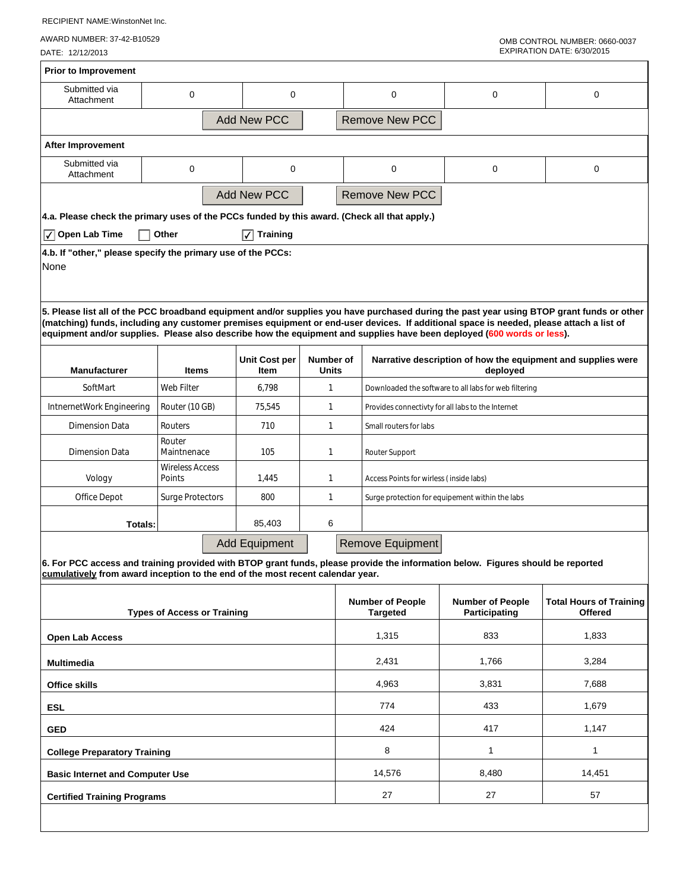RECIPIENT NAME:WinstonNet Inc.

AWARD NUMBER: 37-42-B10529

DATE: 12/12/2013

 $\overline{1}$ 

| 0                                                                            | 0                                      |                                                                                                                                                                  |                       | 0                                                 | 0                                                                                                                                                                                                                                  | 0                                                                                                                                                                                                                                                                                                                                                                                                                                                                                                                                                                                                                                          |  |
|------------------------------------------------------------------------------|----------------------------------------|------------------------------------------------------------------------------------------------------------------------------------------------------------------|-----------------------|---------------------------------------------------|------------------------------------------------------------------------------------------------------------------------------------------------------------------------------------------------------------------------------------|--------------------------------------------------------------------------------------------------------------------------------------------------------------------------------------------------------------------------------------------------------------------------------------------------------------------------------------------------------------------------------------------------------------------------------------------------------------------------------------------------------------------------------------------------------------------------------------------------------------------------------------------|--|
|                                                                              |                                        |                                                                                                                                                                  | <b>Remove New PCC</b> |                                                   |                                                                                                                                                                                                                                    |                                                                                                                                                                                                                                                                                                                                                                                                                                                                                                                                                                                                                                            |  |
|                                                                              |                                        |                                                                                                                                                                  |                       |                                                   |                                                                                                                                                                                                                                    |                                                                                                                                                                                                                                                                                                                                                                                                                                                                                                                                                                                                                                            |  |
| $\mathbf 0$                                                                  | $\mathbf 0$                            |                                                                                                                                                                  |                       | 0                                                 | 0                                                                                                                                                                                                                                  | 0                                                                                                                                                                                                                                                                                                                                                                                                                                                                                                                                                                                                                                          |  |
|                                                                              |                                        |                                                                                                                                                                  |                       |                                                   |                                                                                                                                                                                                                                    |                                                                                                                                                                                                                                                                                                                                                                                                                                                                                                                                                                                                                                            |  |
|                                                                              |                                        |                                                                                                                                                                  |                       |                                                   |                                                                                                                                                                                                                                    |                                                                                                                                                                                                                                                                                                                                                                                                                                                                                                                                                                                                                                            |  |
| Other                                                                        | $ \overline{\sqrt} $ Training          |                                                                                                                                                                  |                       |                                                   |                                                                                                                                                                                                                                    |                                                                                                                                                                                                                                                                                                                                                                                                                                                                                                                                                                                                                                            |  |
|                                                                              |                                        |                                                                                                                                                                  |                       |                                                   |                                                                                                                                                                                                                                    |                                                                                                                                                                                                                                                                                                                                                                                                                                                                                                                                                                                                                                            |  |
|                                                                              |                                        |                                                                                                                                                                  |                       |                                                   | Narrative description of how the equipment and supplies were                                                                                                                                                                       |                                                                                                                                                                                                                                                                                                                                                                                                                                                                                                                                                                                                                                            |  |
| Web Filter                                                                   | 6,798                                  |                                                                                                                                                                  |                       |                                                   |                                                                                                                                                                                                                                    |                                                                                                                                                                                                                                                                                                                                                                                                                                                                                                                                                                                                                                            |  |
| Router (10 GB)                                                               | 75,545                                 | $\mathbf{1}$                                                                                                                                                     |                       | Provides connectivty for all labs to the Internet |                                                                                                                                                                                                                                    |                                                                                                                                                                                                                                                                                                                                                                                                                                                                                                                                                                                                                                            |  |
| Routers                                                                      | 710                                    | $\mathbf{1}$                                                                                                                                                     |                       | Small routers for labs                            |                                                                                                                                                                                                                                    |                                                                                                                                                                                                                                                                                                                                                                                                                                                                                                                                                                                                                                            |  |
| Router<br>Maintnenace                                                        | 105                                    | $\mathbf{1}$<br>Router Support                                                                                                                                   |                       |                                                   |                                                                                                                                                                                                                                    |                                                                                                                                                                                                                                                                                                                                                                                                                                                                                                                                                                                                                                            |  |
| Points                                                                       | 1,445                                  | $\mathbf{1}$                                                                                                                                                     |                       | Access Points for wirless (inside labs)           |                                                                                                                                                                                                                                    |                                                                                                                                                                                                                                                                                                                                                                                                                                                                                                                                                                                                                                            |  |
| Surge Protectors                                                             | 800                                    | $\mathbf{1}$                                                                                                                                                     |                       | Surge protection for equipement within the labs   |                                                                                                                                                                                                                                    |                                                                                                                                                                                                                                                                                                                                                                                                                                                                                                                                                                                                                                            |  |
|                                                                              | 85,403                                 | 6                                                                                                                                                                |                       |                                                   |                                                                                                                                                                                                                                    |                                                                                                                                                                                                                                                                                                                                                                                                                                                                                                                                                                                                                                            |  |
|                                                                              |                                        |                                                                                                                                                                  |                       |                                                   |                                                                                                                                                                                                                                    |                                                                                                                                                                                                                                                                                                                                                                                                                                                                                                                                                                                                                                            |  |
|                                                                              |                                        |                                                                                                                                                                  |                       |                                                   |                                                                                                                                                                                                                                    |                                                                                                                                                                                                                                                                                                                                                                                                                                                                                                                                                                                                                                            |  |
| <b>Types of Access or Training</b>                                           |                                        |                                                                                                                                                                  |                       | <b>Targeted</b>                                   | <b>Number of People</b><br>Participating                                                                                                                                                                                           | <b>Total Hours of Training</b><br>Offered                                                                                                                                                                                                                                                                                                                                                                                                                                                                                                                                                                                                  |  |
| <b>Open Lab Access</b>                                                       |                                        |                                                                                                                                                                  |                       | 1,315                                             | 833                                                                                                                                                                                                                                | 1,833                                                                                                                                                                                                                                                                                                                                                                                                                                                                                                                                                                                                                                      |  |
| Multimedia                                                                   |                                        |                                                                                                                                                                  |                       | 2,431                                             | 1.766                                                                                                                                                                                                                              | 3,284                                                                                                                                                                                                                                                                                                                                                                                                                                                                                                                                                                                                                                      |  |
| <b>Office skills</b>                                                         |                                        |                                                                                                                                                                  |                       | 4,963                                             | 3,831                                                                                                                                                                                                                              | 7,688                                                                                                                                                                                                                                                                                                                                                                                                                                                                                                                                                                                                                                      |  |
| <b>ESL</b>                                                                   |                                        |                                                                                                                                                                  |                       | 774                                               | 433                                                                                                                                                                                                                                | 1,679                                                                                                                                                                                                                                                                                                                                                                                                                                                                                                                                                                                                                                      |  |
| <b>GED</b>                                                                   |                                        |                                                                                                                                                                  |                       | 424                                               | 417                                                                                                                                                                                                                                | 1,147                                                                                                                                                                                                                                                                                                                                                                                                                                                                                                                                                                                                                                      |  |
| <b>College Preparatory Training</b>                                          |                                        |                                                                                                                                                                  |                       | 8                                                 | $\mathbf{1}$                                                                                                                                                                                                                       | 1                                                                                                                                                                                                                                                                                                                                                                                                                                                                                                                                                                                                                                          |  |
|                                                                              |                                        |                                                                                                                                                                  |                       | 14,576                                            | 8,480                                                                                                                                                                                                                              | 14,451                                                                                                                                                                                                                                                                                                                                                                                                                                                                                                                                                                                                                                     |  |
| <b>Basic Internet and Computer Use</b><br><b>Certified Training Programs</b> |                                        |                                                                                                                                                                  |                       |                                                   |                                                                                                                                                                                                                                    |                                                                                                                                                                                                                                                                                                                                                                                                                                                                                                                                                                                                                                            |  |
|                                                                              | <b>Items</b><br><b>Wireless Access</b> | <b>Add New PCC</b><br><b>Add New PCC</b><br>4.b. If "other," please specify the primary use of the PCCs:<br><b>Unit Cost per</b><br>ltem<br><b>Add Equipment</b> | 1                     | Number of<br>Units                                | <b>Remove New PCC</b><br>4.a. Please check the primary uses of the PCCs funded by this award. (Check all that apply.)<br>cumulatively from award inception to the end of the most recent calendar year.<br><b>Number of People</b> | 5. Please list all of the PCC broadband equipment and/or supplies you have purchased during the past year using BTOP grant funds or other<br>(matching) funds, including any customer premises equipment or end-user devices. If additional space is needed, please attach a list of<br>equipment and/or supplies. Please also describe how the equipment and supplies have been deployed (600 words or less).<br>deployed<br>Downloaded the software to all labs for web filtering<br>Remove Equipment<br>6. For PCC access and training provided with BTOP grant funds, please provide the information below. Figures should be reported |  |